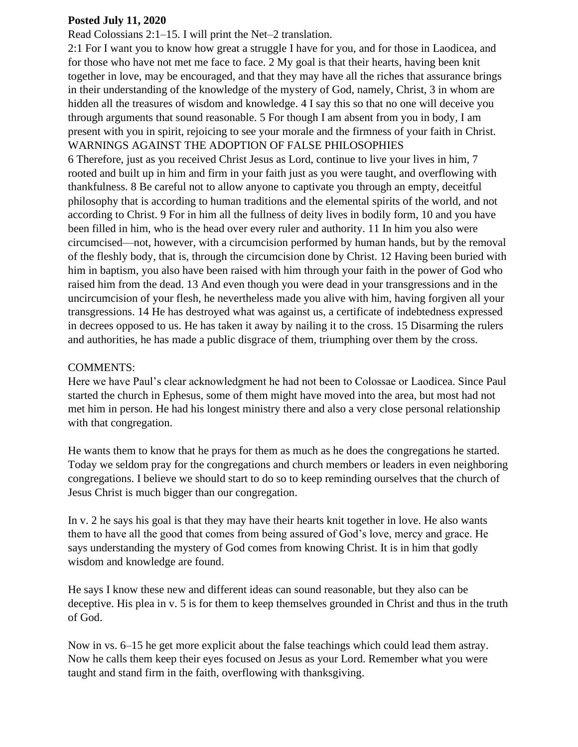## **Posted July 11, 2020**

Read Colossians 2:1–15. I will print the Net–2 translation.

2:1 For I want you to know how great a struggle I have for you, and for those in Laodicea, and for those who have not met me face to face. 2 My goal is that their hearts, having been knit together in love, may be encouraged, and that they may have all the riches that assurance brings in their understanding of the knowledge of the mystery of God, namely, Christ, 3 in whom are hidden all the treasures of wisdom and knowledge. 4 I say this so that no one will deceive you through arguments that sound reasonable. 5 For though I am absent from you in body, I am present with you in spirit, rejoicing to see your morale and the firmness of your faith in Christ. WARNINGS AGAINST THE ADOPTION OF FALSE PHILOSOPHIES

6 Therefore, just as you received Christ Jesus as Lord, continue to live your lives in him, 7 rooted and built up in him and firm in your faith just as you were taught, and overflowing with thankfulness. 8 Be careful not to allow anyone to captivate you through an empty, deceitful philosophy that is according to human traditions and the elemental spirits of the world, and not according to Christ. 9 For in him all the fullness of deity lives in bodily form, 10 and you have been filled in him, who is the head over every ruler and authority. 11 In him you also were circumcised—not, however, with a circumcision performed by human hands, but by the removal of the fleshly body, that is, through the circumcision done by Christ. 12 Having been buried with him in baptism, you also have been raised with him through your faith in the power of God who raised him from the dead. 13 And even though you were dead in your transgressions and in the uncircumcision of your flesh, he nevertheless made you alive with him, having forgiven all your transgressions. 14 He has destroyed what was against us, a certificate of indebtedness expressed in decrees opposed to us. He has taken it away by nailing it to the cross. 15 Disarming the rulers and authorities, he has made a public disgrace of them, triumphing over them by the cross.

## COMMENTS:

Here we have Paul's clear acknowledgment he had not been to Colossae or Laodicea. Since Paul started the church in Ephesus, some of them might have moved into the area, but most had not met him in person. He had his longest ministry there and also a very close personal relationship with that congregation.

He wants them to know that he prays for them as much as he does the congregations he started. Today we seldom pray for the congregations and church members or leaders in even neighboring congregations. I believe we should start to do so to keep reminding ourselves that the church of Jesus Christ is much bigger than our congregation.

In v. 2 he says his goal is that they may have their hearts knit together in love. He also wants them to have all the good that comes from being assured of God's love, mercy and grace. He says understanding the mystery of God comes from knowing Christ. It is in him that godly wisdom and knowledge are found.

He says I know these new and different ideas can sound reasonable, but they also can be deceptive. His plea in v. 5 is for them to keep themselves grounded in Christ and thus in the truth of God.

Now in vs. 6–15 he get more explicit about the false teachings which could lead them astray. Now he calls them keep their eyes focused on Jesus as your Lord. Remember what you were taught and stand firm in the faith, overflowing with thanksgiving.